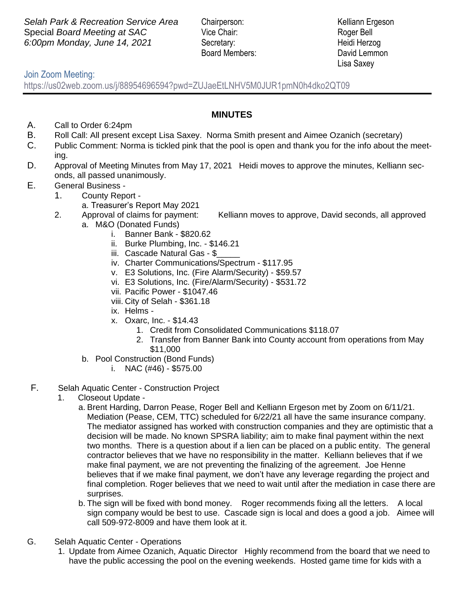**Selah Park & Recreation Service Area** Chairperson: Kelliann Ergeson Special *Board Meeting at SAC* Vice Chair: Roger Bell *6:00pm Monday, June 14, 2021* Secretary: Heidi Herzog

Board Members: David Lemmon

Lisa Saxey

## Join Zoom Meeting:

https://us02web.zoom.us/j/88954696594?pwd=ZUJaeEtLNHV5M0JUR1pmN0h4dko2QT09

- A. Call to Order 6:24pm
- B. Roll Call: All present except Lisa Saxey. Norma Smith present and Aimee Ozanich (secretary)
- C. Public Comment: Norma is tickled pink that the pool is open and thank you for the info about the meeting.
- D. Approval of Meeting Minutes from May 17, 2021 Heidi moves to approve the minutes, Kelliann seconds, all passed unanimously.
- E. General Business
	- 1. County Report
		- a. Treasurer's Report May 2021
	- 2. Approval of claims for payment: Kelliann moves to approve, David seconds, all approved a. M&O (Donated Funds)
		- i. Banner Bank \$820.62
		- ii. Burke Plumbing, Inc. \$146.21
		- iii. Cascade Natural Gas \$
		- iv. Charter Communications/Spectrum \$117.95
		- v. E3 Solutions, Inc. (Fire Alarm/Security) \$59.57
		- vi. E3 Solutions, Inc. (Fire/Alarm/Security) \$531.72
		- vii. Pacific Power \$1047.46
		- viii. City of Selah \$361.18
		- ix. Helms -
		- x. Oxarc, Inc. \$14.43
			- 1. Credit from Consolidated Communications \$118.07
			- 2. Transfer from Banner Bank into County account from operations from May \$11,000
		- b. Pool Construction (Bond Funds)
			- i. NAC (#46) \$575.00
- F. Selah Aquatic Center Construction Project
	- 1. Closeout Update
		- a. Brent Harding, Darron Pease, Roger Bell and Kelliann Ergeson met by Zoom on 6/11/21. Mediation (Pease, CEM, TTC) scheduled for 6/22/21 all have the same insurance company. The mediator assigned has worked with construction companies and they are optimistic that a decision will be made. No known SPSRA liability; aim to make final payment within the next two months. There is a question about if a lien can be placed on a public entity. The general contractor believes that we have no responsibility in the matter. Kelliann believes that if we make final payment, we are not preventing the finalizing of the agreement. Joe Henne believes that if we make final payment, we don't have any leverage regarding the project and final completion. Roger believes that we need to wait until after the mediation in case there are surprises.
		- b. The sign will be fixed with bond money. Roger recommends fixing all the letters. A local sign company would be best to use. Cascade sign is local and does a good a job. Aimee will call 509-972-8009 and have them look at it.
- G. Selah Aquatic Center Operations
	- 1. Update from Aimee Ozanich, Aquatic Director Highly recommend from the board that we need to have the public accessing the pool on the evening weekends. Hosted game time for kids with a

## **MINUTES**